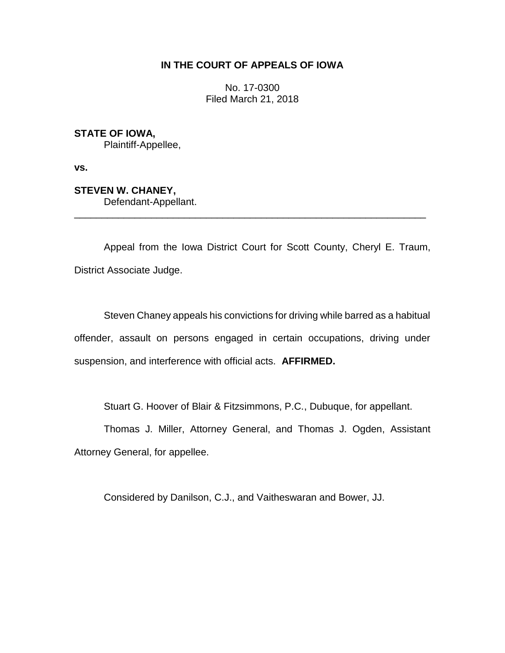## **IN THE COURT OF APPEALS OF IOWA**

No. 17-0300 Filed March 21, 2018

**STATE OF IOWA,**

Plaintiff-Appellee,

**vs.**

**STEVEN W. CHANEY,**

Defendant-Appellant.

Appeal from the Iowa District Court for Scott County, Cheryl E. Traum, District Associate Judge.

\_\_\_\_\_\_\_\_\_\_\_\_\_\_\_\_\_\_\_\_\_\_\_\_\_\_\_\_\_\_\_\_\_\_\_\_\_\_\_\_\_\_\_\_\_\_\_\_\_\_\_\_\_\_\_\_\_\_\_\_\_\_\_\_

Steven Chaney appeals his convictions for driving while barred as a habitual offender, assault on persons engaged in certain occupations, driving under suspension, and interference with official acts. **AFFIRMED.**

Stuart G. Hoover of Blair & Fitzsimmons, P.C., Dubuque, for appellant.

Thomas J. Miller, Attorney General, and Thomas J. Ogden, Assistant Attorney General, for appellee.

Considered by Danilson, C.J., and Vaitheswaran and Bower, JJ.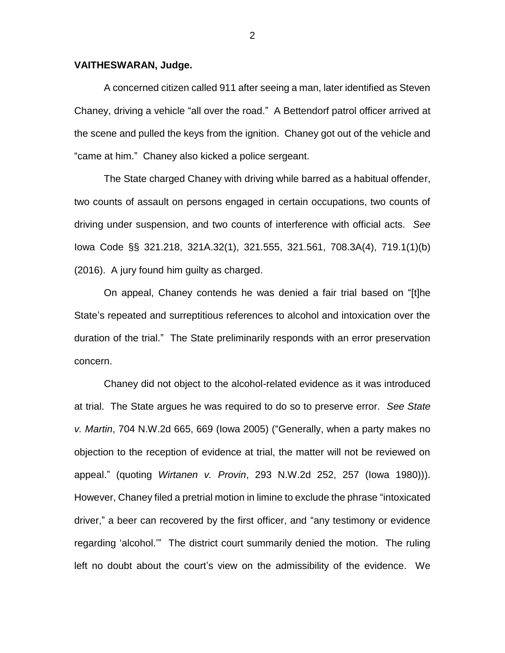## **VAITHESWARAN, Judge.**

A concerned citizen called 911 after seeing a man, later identified as Steven Chaney, driving a vehicle "all over the road." A Bettendorf patrol officer arrived at the scene and pulled the keys from the ignition. Chaney got out of the vehicle and "came at him." Chaney also kicked a police sergeant.

The State charged Chaney with driving while barred as a habitual offender, two counts of assault on persons engaged in certain occupations, two counts of driving under suspension, and two counts of interference with official acts. *See* Iowa Code §§ 321.218, 321A.32(1), 321.555, 321.561, 708.3A(4), 719.1(1)(b) (2016). A jury found him guilty as charged.

On appeal, Chaney contends he was denied a fair trial based on "[t]he State's repeated and surreptitious references to alcohol and intoxication over the duration of the trial." The State preliminarily responds with an error preservation concern.

Chaney did not object to the alcohol-related evidence as it was introduced at trial. The State argues he was required to do so to preserve error. *See State v. Martin*, 704 N.W.2d 665, 669 (Iowa 2005) ("Generally, when a party makes no objection to the reception of evidence at trial, the matter will not be reviewed on appeal." (quoting *Wirtanen v. Provin*, 293 N.W.2d 252, 257 (Iowa 1980))). However, Chaney filed a pretrial motion in limine to exclude the phrase "intoxicated driver," a beer can recovered by the first officer, and "any testimony or evidence regarding 'alcohol.'" The district court summarily denied the motion. The ruling left no doubt about the court's view on the admissibility of the evidence. We

2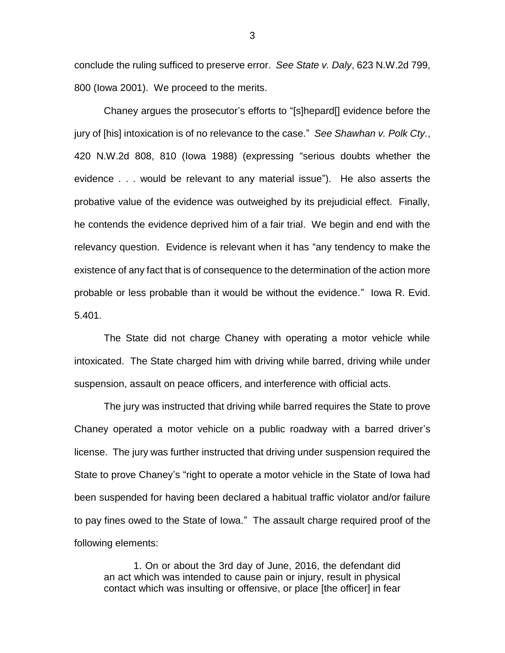conclude the ruling sufficed to preserve error. *See State v. Daly*, 623 N.W.2d 799, 800 (Iowa 2001). We proceed to the merits.

Chaney argues the prosecutor's efforts to "[s]hepard[] evidence before the jury of [his] intoxication is of no relevance to the case." *See Shawhan v. Polk Cty.*, 420 N.W.2d 808, 810 (Iowa 1988) (expressing "serious doubts whether the evidence . . . would be relevant to any material issue"). He also asserts the probative value of the evidence was outweighed by its prejudicial effect. Finally, he contends the evidence deprived him of a fair trial. We begin and end with the relevancy question. Evidence is relevant when it has "any tendency to make the existence of any fact that is of consequence to the determination of the action more probable or less probable than it would be without the evidence." Iowa R. Evid. 5.401.

The State did not charge Chaney with operating a motor vehicle while intoxicated. The State charged him with driving while barred, driving while under suspension, assault on peace officers, and interference with official acts.

The jury was instructed that driving while barred requires the State to prove Chaney operated a motor vehicle on a public roadway with a barred driver's license. The jury was further instructed that driving under suspension required the State to prove Chaney's "right to operate a motor vehicle in the State of Iowa had been suspended for having been declared a habitual traffic violator and/or failure to pay fines owed to the State of Iowa." The assault charge required proof of the following elements:

1. On or about the 3rd day of June, 2016, the defendant did an act which was intended to cause pain or injury, result in physical contact which was insulting or offensive, or place [the officer] in fear

3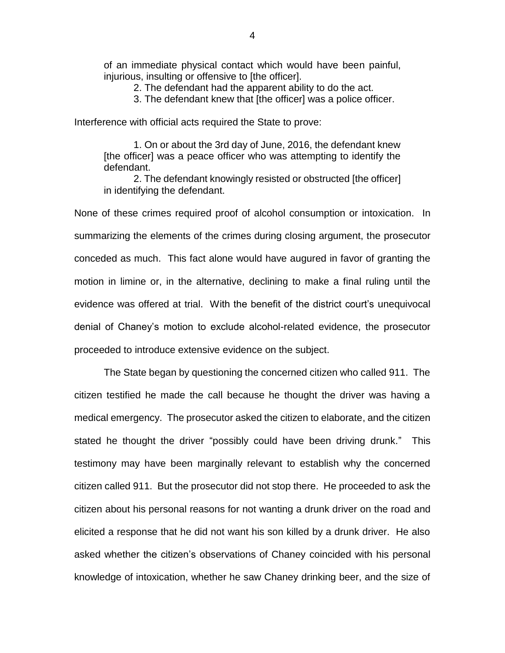of an immediate physical contact which would have been painful, injurious, insulting or offensive to [the officer].

2. The defendant had the apparent ability to do the act.

3. The defendant knew that [the officer] was a police officer.

Interference with official acts required the State to prove:

1. On or about the 3rd day of June, 2016, the defendant knew [the officer] was a peace officer who was attempting to identify the defendant.

2. The defendant knowingly resisted or obstructed [the officer] in identifying the defendant.

None of these crimes required proof of alcohol consumption or intoxication. In summarizing the elements of the crimes during closing argument, the prosecutor conceded as much. This fact alone would have augured in favor of granting the motion in limine or, in the alternative, declining to make a final ruling until the evidence was offered at trial. With the benefit of the district court's unequivocal denial of Chaney's motion to exclude alcohol-related evidence, the prosecutor proceeded to introduce extensive evidence on the subject.

The State began by questioning the concerned citizen who called 911. The citizen testified he made the call because he thought the driver was having a medical emergency. The prosecutor asked the citizen to elaborate, and the citizen stated he thought the driver "possibly could have been driving drunk." This testimony may have been marginally relevant to establish why the concerned citizen called 911. But the prosecutor did not stop there. He proceeded to ask the citizen about his personal reasons for not wanting a drunk driver on the road and elicited a response that he did not want his son killed by a drunk driver. He also asked whether the citizen's observations of Chaney coincided with his personal knowledge of intoxication, whether he saw Chaney drinking beer, and the size of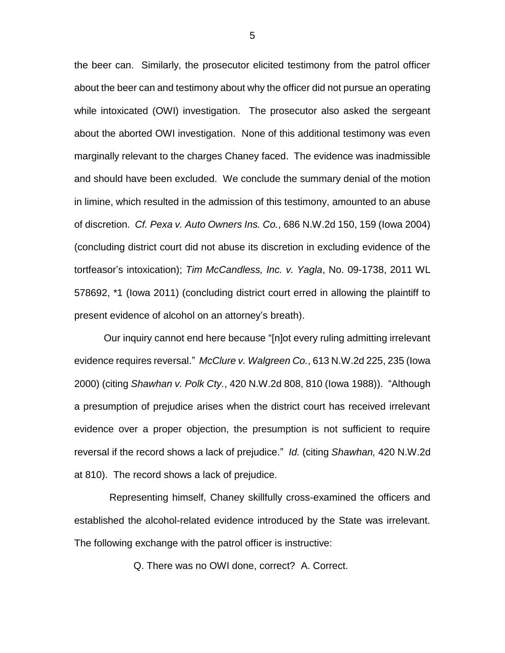the beer can. Similarly, the prosecutor elicited testimony from the patrol officer about the beer can and testimony about why the officer did not pursue an operating while intoxicated (OWI) investigation. The prosecutor also asked the sergeant about the aborted OWI investigation. None of this additional testimony was even marginally relevant to the charges Chaney faced. The evidence was inadmissible and should have been excluded. We conclude the summary denial of the motion in limine, which resulted in the admission of this testimony, amounted to an abuse of discretion. *Cf. Pexa v. Auto Owners Ins. Co.*, 686 N.W.2d 150, 159 (Iowa 2004) (concluding district court did not abuse its discretion in excluding evidence of the tortfeasor's intoxication); *Tim McCandless, Inc. v. Yagla*, No. 09-1738, 2011 WL 578692, \*1 (Iowa 2011) (concluding district court erred in allowing the plaintiff to present evidence of alcohol on an attorney's breath).

Our inquiry cannot end here because "[n]ot every ruling admitting irrelevant evidence requires reversal." *McClure v. Walgreen Co.*, 613 N.W.2d 225, 235 (Iowa 2000) (citing *Shawhan v. Polk Cty.*, 420 N.W.2d 808, 810 (Iowa 1988)). "Although a presumption of prejudice arises when the district court has received irrelevant evidence over a proper objection, the presumption is not sufficient to require reversal if the record shows a lack of prejudice." *Id.* (citing *Shawhan,* 420 N.W.2d at 810). The record shows a lack of prejudice.

 Representing himself, Chaney skillfully cross-examined the officers and established the alcohol-related evidence introduced by the State was irrelevant. The following exchange with the patrol officer is instructive:

Q. There was no OWI done, correct? A. Correct.

5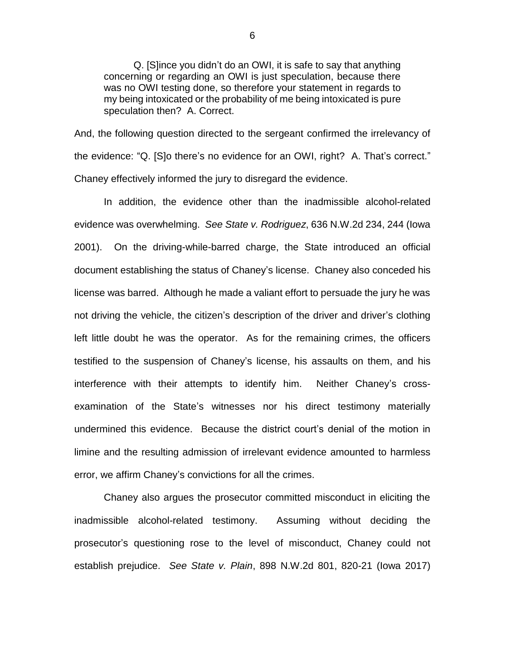Q. [S]ince you didn't do an OWI, it is safe to say that anything concerning or regarding an OWI is just speculation, because there was no OWI testing done, so therefore your statement in regards to my being intoxicated or the probability of me being intoxicated is pure speculation then? A. Correct.

And, the following question directed to the sergeant confirmed the irrelevancy of the evidence: "Q. [S]o there's no evidence for an OWI, right? A. That's correct." Chaney effectively informed the jury to disregard the evidence.

In addition, the evidence other than the inadmissible alcohol-related evidence was overwhelming. *See State v. Rodriguez*, 636 N.W.2d 234, 244 (Iowa 2001). On the driving-while-barred charge, the State introduced an official document establishing the status of Chaney's license. Chaney also conceded his license was barred. Although he made a valiant effort to persuade the jury he was not driving the vehicle, the citizen's description of the driver and driver's clothing left little doubt he was the operator. As for the remaining crimes, the officers testified to the suspension of Chaney's license, his assaults on them, and his interference with their attempts to identify him. Neither Chaney's crossexamination of the State's witnesses nor his direct testimony materially undermined this evidence. Because the district court's denial of the motion in limine and the resulting admission of irrelevant evidence amounted to harmless error, we affirm Chaney's convictions for all the crimes.

Chaney also argues the prosecutor committed misconduct in eliciting the inadmissible alcohol-related testimony. Assuming without deciding the prosecutor's questioning rose to the level of misconduct, Chaney could not establish prejudice. *See State v. Plain*, 898 N.W.2d 801, 820-21 (Iowa 2017)